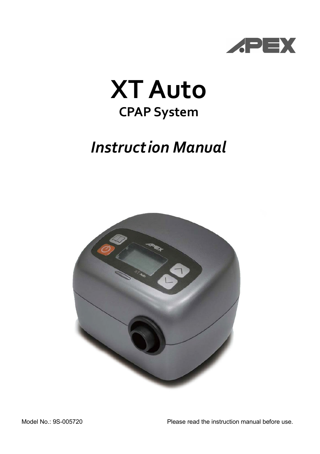

# **XT Auto CPAP System**

## *Instruction Manual*



Model No.: 9S-005720 Please read the instruction manual before use.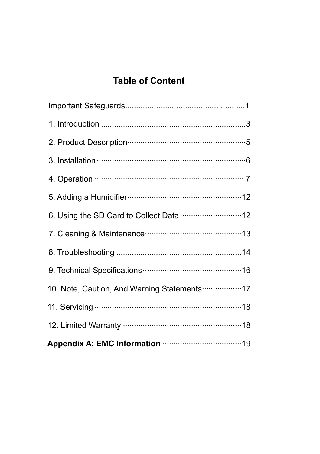## **Table of Content**

| 2. Product Description manufacturers and 5    |
|-----------------------------------------------|
|                                               |
|                                               |
|                                               |
|                                               |
|                                               |
|                                               |
|                                               |
| 10. Note, Caution, And Warning Statements  17 |
|                                               |
|                                               |
|                                               |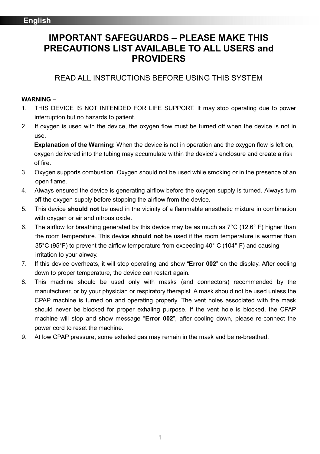## **IMPORTANT SAFEGUARDS – PLEASE MAKE THIS PRECAUTIONS LIST AVAILABLE TO ALL USERS and PROVIDERS**

### READ ALL INSTRUCTIONS BEFORE USING THIS SYSTEM

#### **WARNING –**

- 1. THIS DEVICE IS NOT INTENDED FOR LIFE SUPPORT. It may stop operating due to power interruption but no hazards to patient.
- 2. If oxygen is used with the device, the oxygen flow must be turned off when the device is not in use.

**Explanation of the Warning:** When the device is not in operation and the oxygen flow is left on, oxygen delivered into the tubing may accumulate within the device's enclosure and create a risk of fire.

- 3. Oxygen supports combustion. Oxygen should not be used while smoking or in the presence of an open flame.
- 4. Always ensured the device is generating airflow before the oxygen supply is turned. Always turn off the oxygen supply before stopping the airflow from the device.
- 5. This device **should not** be used in the vicinity of a flammable anesthetic mixture in combination with oxygen or air and nitrous oxide.
- 6. The airflow for breathing generated by this device may be as much as  $7^{\circ}$ C (12.6° F) higher than the room temperature. This device **should not** be used if the room temperature is warmer than 35°C (95°F) to prevent the airflow temperature from exceeding 40° C (104° F) and causing irritation to your airway.
- 7. If this device overheats, it will stop operating and show "**Error 002**" on the display. After cooling down to proper temperature, the device can restart again.
- 8. This machine should be used only with masks (and connectors) recommended by the manufacturer, or by your physician or respiratory therapist. A mask should not be used unless the CPAP machine is turned on and operating properly. The vent holes associated with the mask should never be blocked for proper exhaling purpose. If the vent hole is blocked, the CPAP machine will stop and show message "**Error 002**", after cooling down, please re-connect the power cord to reset the machine.
- 9. At low CPAP pressure, some exhaled gas may remain in the mask and be re-breathed.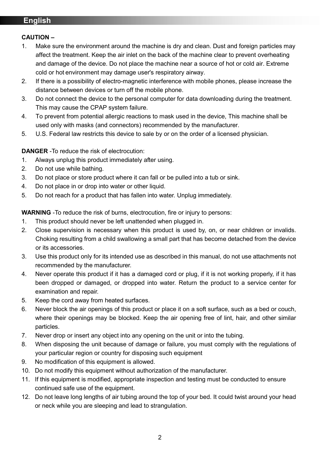#### **CAUTION –**

- 1. Make sure the environment around the machine is dry and clean. Dust and foreign particles may affect the treatment. Keep the air inlet on the back of the machine clear to prevent overheating and damage of the device. Do not place the machine near a source of hot or cold air. Extreme cold or hot environment may damage user's respiratory airway.
- 2. If there is a possibility of electro-magnetic interference with mobile phones, please increase the distance between devices or turn off the mobile phone.
- 3. Do not connect the device to the personal computer for data downloading during the treatment. This may cause the CPAP system failure.
- 4. To prevent from potential allergic reactions to mask used in the device, This machine shall be used only with masks (and connectors) recommended by the manufacturer.
- 5. U.S. Federal law restricts this device to sale by or on the order of a licensed physician.

#### **DANGER** -To reduce the risk of electrocution:

- 1. Always unplug this product immediately after using.
- 2. Do not use while bathing.
- 3. Do not place or store product where it can fall or be pulled into a tub or sink.
- 4. Do not place in or drop into water or other liquid.
- 5. Do not reach for a product that has fallen into water. Unplug immediately.

**WARNING** -To reduce the risk of burns, electrocution, fire or injury to persons:

- 1. This product should never be left unattended when plugged in.
- 2. Close supervision is necessary when this product is used by, on, or near children or invalids. Choking resulting from a child swallowing a small part that has become detached from the device or its accessories.
- 3. Use this product only for its intended use as described in this manual, do not use attachments not recommended by the manufacturer.
- 4. Never operate this product if it has a damaged cord or plug, if it is not working properly, if it has been dropped or damaged, or dropped into water. Return the product to a service center for examination and repair.
- 5. Keep the cord away from heated surfaces.
- 6. Never block the air openings of this product or place it on a soft surface, such as a bed or couch, where their openings may be blocked. Keep the air opening free of lint, hair, and other similar particles.
- 7. Never drop or insert any object into any opening on the unit or into the tubing.
- 8. When disposing the unit because of damage or failure, you must comply with the regulations of your particular region or country for disposing such equipment
- 9. No modification of this equipment is allowed.
- 10. Do not modify this equipment without authorization of the manufacturer.
- 11. If this equipment is modified, appropriate inspection and testing must be conducted to ensure continued safe use of the equipment.
- 12. Do not leave long lengths of air tubing around the top of your bed. It could twist around your head or neck while you are sleeping and lead to strangulation.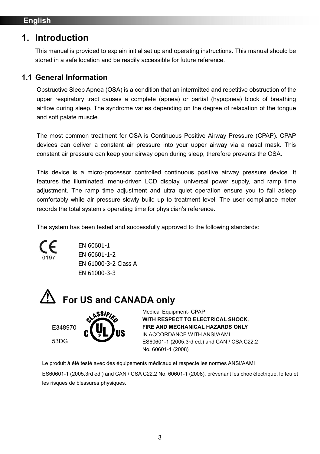## **1. Introduction**

This manual is provided to explain initial set up and operating instructions. This manual should be stored in a safe location and be readily accessible for future reference.

#### **1.1 General Information**

Obstructive Sleep Apnea (OSA) is a condition that an intermitted and repetitive obstruction of the upper respiratory tract causes a complete (apnea) or partial (hypopnea) block of breathing airflow during sleep. The syndrome varies depending on the degree of relaxation of the tongue and soft palate muscle.

The most common treatment for OSA is Continuous Positive Airway Pressure (CPAP). CPAP devices can deliver a constant air pressure into your upper airway via a nasal mask. This constant air pressure can keep your airway open during sleep, therefore prevents the OSA.

This device is a micro-processor controlled continuous positive airway pressure device. It features the illuminated, menu-driven LCD display, universal power supply, and ramp time adjustment. The ramp time adjustment and ultra quiet operation ensure you to fall asleep comfortably while air pressure slowly build up to treatment level. The user compliance meter records the total system's operating time for physician's reference.

The system has been tested and successfully approved to the following standards:



EN 60601-1 EN 60601-1-2 EN 61000-3-2 Class A EN 61000-3-3

## **For US and CANADA only**



Medical Equipment- CPAP **WITH RESPECT TO ELECTRICAL SHOCK, FIRE AND MECHANICAL HAZARDS ONLY**  IN ACCORDANCE WITH ANSI/AAMI ES60601-1 (2005,3rd ed.) and CAN / CSA C22.2 No. 60601-1 (2008)

Le produit à été testé avec des équipements médicaux et respecte les normes ANSI/AAMI ES60601-1 (2005,3rd ed.) and CAN / CSA C22.2 No. 60601-1 (2008). prévenant les choc électrique, le feu et les risques de blessures physiques.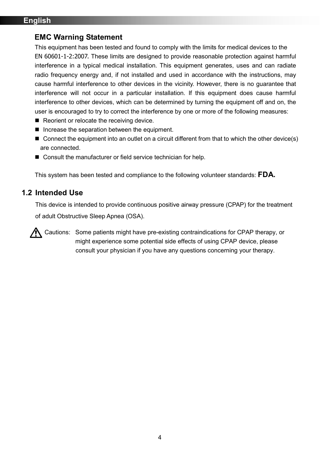#### **EMC Warning Statement**

This equipment has been tested and found to comply with the limits for medical devices to the EN 60601-1-2:2007. These limits are designed to provide reasonable protection against harmful interference in a typical medical installation. This equipment generates, uses and can radiate radio frequency energy and, if not installed and used in accordance with the instructions, may cause harmful interference to other devices in the vicinity. However, there is no guarantee that interference will not occur in a particular installation. If this equipment does cause harmful interference to other devices, which can be determined by turning the equipment off and on, the user is encouraged to try to correct the interference by one or more of the following measures:

- $\blacksquare$  Reorient or relocate the receiving device.
- $\blacksquare$  Increase the separation between the equipment.
- Connect the equipment into an outlet on a circuit different from that to which the other device(s) are connected.
- Consult the manufacturer or field service technician for help.

This system has been tested and compliance to the following volunteer standards: **FDA.** 

#### **1.2 Intended Use**

This device is intended to provide continuous positive airway pressure (CPAP) for the treatment of adult Obstructive Sleep Apnea (OSA).

Cautions: Some patients might have pre-existing contraindications for CPAP therapy, or might experience some potential side effects of using CPAP device, please consult your physician if you have any questions concerning your therapy.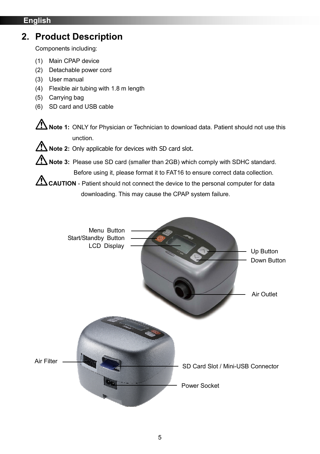## **2. Product Description**

Components including:

- (1) Main CPAP device
- (2) Detachable power cord
- (3) User manual
- (4) Flexible air tubing with 1.8 m length
- (5) Carrying bag
- (6) SD card and USB cable

**ANote 1:** ONLY for Physician or Technician to download data. Patient should not use this unction.

**W** Note 2: Only applicable for devices with SD card slot.

**Note 3:** Please use SD card (smaller than 2GB) which comply with SDHC standard. Before using it, please format it to FAT16 to ensure correct data collection.

**CAUTION** - Patient should not connect the device to the personal computer for data downloading. This may cause the CPAP system failure.

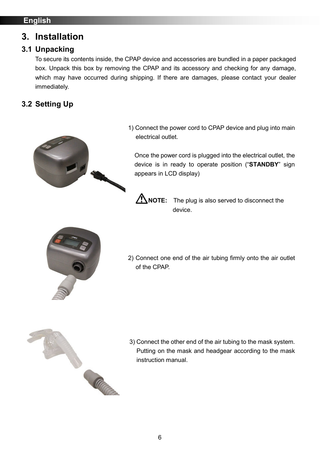## **3. Installation**

### **3.1 Unpacking**

To secure its contents inside, the CPAP device and accessories are bundled in a paper packaged box. Unpack this box by removing the CPAP and its accessory and checking for any damage, which may have occurred during shipping. If there are damages, please contact your dealer immediately.

## **3.2 Setting Up**



 1) Connect the power cord to CPAP device and plug into main electrical outlet.

Once the power cord is plugged into the electrical outlet, the device is in ready to operate position ("**STANDBY**" sign appears in LCD display)



**NOTE:** The plug is also served to disconnect the device.



2) Connect one end of the air tubing firmly onto the air outlet of the CPAP.



3) Connect the other end of the air tubing to the mask system. Putting on the mask and headgear according to the mask instruction manual.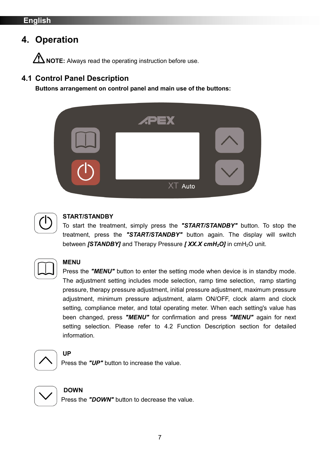## **4. Operation**

**ANOTE:** Always read the operating instruction before use.

#### **4.1 Control Panel Description**

**Buttons arrangement on control panel and main use of the buttons:** 





#### **START/STANDBY**

To start the treatment, simply press the *"START/STANDBY"* button. To stop the treatment, press the *"START/STANDBY"* button again. The display will switch between *[STANDBY]* and Therapy Pressure *[ XX.X cmH2O]* in cmH2O unit.



#### **MENU**

Press the **"MENU"** button to enter the setting mode when device is in standby mode. The adjustment setting includes mode selection, ramp time selection, ramp starting pressure, therapy pressure adjustment, initial pressure adjustment, maximum pressure adjustment, minimum pressure adjustment, alarm ON/OFF, clock alarm and clock setting, compliance meter, and total operating meter. When each setting's value has been changed, press *"MENU"* for confirmation and press *"MENU"* again for next setting selection. Please refer to 4.2 Function Description section for detailed information.



#### **UP**

Press the *"UP"* button to increase the value.



#### **DOWN**

Press the *"DOWN"* button to decrease the value.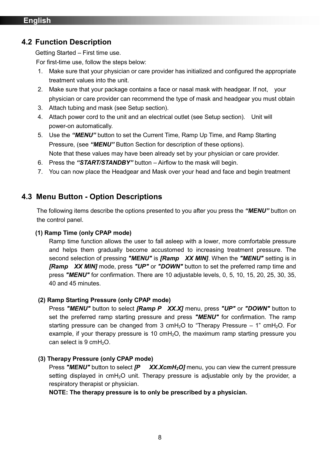#### **4.2 Function Description**

Getting Started – First time use.

For first-time use, follow the steps below:

- 1. Make sure that your physician or care provider has initialized and configured the appropriate treatment values into the unit.
- 2. Make sure that your package contains a face or nasal mask with headgear. If not, your physician or care provider can recommend the type of mask and headgear you must obtain
- 3. Attach tubing and mask (see Setup section).
- 4. Attach power cord to the unit and an electrical outlet (see Setup section). Unit will power-on automatically.
- 5. Use the *"MENU"* button to set the Current Time, Ramp Up Time, and Ramp Starting Pressure, (see *"MENU"* Button Section for description of these options). Note that these values may have been already set by your physician or care provider.
- 6. Press the *"START/STANDBY"* button Airflow to the mask will begin.
- 7. You can now place the Headgear and Mask over your head and face and begin treatment

#### **4.3 Menu Button - Option Descriptions**

The following items describe the options presented to you after you press the *"MENU"* button on the control panel.

#### **(1) Ramp Time (only CPAP mode)**

Ramp time function allows the user to fall asleep with a lower, more comfortable pressure and helps them gradually become accustomed to increasing treatment pressure. The second selection of pressing *"MENU"* is *[Ramp XX MIN]*. When the *"MENU"* setting is in *[Ramp XX MIN]* mode, press *"UP"* or *"DOWN"* button to set the preferred ramp time and press *"MENU"* for confirmation. There are 10 adjustable levels, 0, 5, 10, 15, 20, 25, 30, 35, 40 and 45 minutes.

#### **(2) Ramp Starting Pressure (only CPAP mode)**

Press *"MENU"* button to select *[Ramp P XX.X]* menu, press *"UP"* or *"DOWN"* button to set the preferred ramp starting pressure and press *"MENU"* for confirmation. The ramp starting pressure can be changed from 3 cmH<sub>2</sub>O to "Therapy Pressure – 1" cmH<sub>2</sub>O. For example, if your therapy pressure is 10 cmH<sub>2</sub>O, the maximum ramp starting pressure you can select is  $9 \text{ cm}$ H<sub>2</sub>O.

#### **(3) Therapy Pressure (only CPAP mode)**

Press *"MENU"* button to select *[P XX.XcmH2O]* menu, you can view the current pressure setting displayed in cmH<sub>2</sub>O unit. Therapy pressure is adjustable only by the provider, a respiratory therapist or physician.

**NOTE: The therapy pressure is to only be prescribed by a physician.**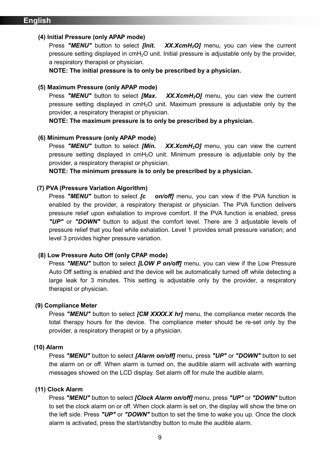#### **(4) Initial Pressure (only APAP mode)**

Press *"MENU"* button to select *[Init. XX.XcmH2O]* menu, you can view the current pressure setting displayed in cmH2O unit. Initial pressure is adjustable only by the provider, a respiratory therapist or physician.

**NOTE: The initial pressure is to only be prescribed by a physician.** 

#### **(5) Maximum Pressure (only APAP mode)**

Press *"MENU"* button to select *[Max. XX.XcmH2O]* menu, you can view the current pressure setting displayed in cmH2O unit. Maximum pressure is adjustable only by the provider, a respiratory therapist or physician.

**NOTE: The maximum pressure is to only be prescribed by a physician.**

#### **(6) Minimum Pressure (only APAP mode)**

Press *"MENU"* button to select *[Min. XX.XcmH2O]* menu, you can view the current pressure setting displayed in  $cmH<sub>2</sub>O$  unit. Minimum pressure is adjustable only by the provider, a respiratory therapist or physician.

**NOTE: The minimum pressure is to only be prescribed by a physician.**

#### **(7) PVA (Pressure Variation Algorithm)**

Press *"MENU"* button to select *[c on/off]* menu, you can view if the PVA function is enabled by the provider, a respiratory therapist or physician. The PVA function delivers pressure relief upon exhalation to improve comfort. If the PVA function is enabled, press *"UP"* or *"DOWN"* button to adjust the comfort level. There are 3 adjustable levels of pressure relief that you feel while exhalation. Level 1 provides small pressure variation; and level 3 provides higher pressure variation.

#### **(8) Low Pressure Auto Off (only CPAP mode)**

Press *"MENU"* button to select *[LOW P on/off]* menu, you can view if the Low Pressure Auto Off setting is enabled and the device will be automatically turned off while detecting a large leak for 3 minutes. This setting is adjustable only by the provider, a respiratory therapist or physician.

#### **(9) Compliance Meter**

Press "MENU" button to select *[CM XXXX.X hr]* menu, the compliance meter records the total therapy hours for the device. The compliance meter should be re-set only by the provider, a respiratory therapist or by a physician.

#### **(10) Alarm**

Press *"MENU"* button to select *[Alarm on/off]* menu, press *"UP"* or *"DOWN"* button to set the alarm on or off. When alarm is turned on, the audible alarm will activate with warning messages showed on the LCD display. Set alarm off for mute the audible alarm.

#### **(11) Clock Alarm**

Press *"MENU"* button to select *[Clock Alarm on/off]* menu, press *"UP"* or *"DOWN"* button to set the clock alarm on or off. When clock alarm is set on, the display will show the time on the left side. Press *"UP"* or *"DOWN"* button to set the time to wake you up. Once the clock alarm is activated, press the start/standby button to mute the audible alarm.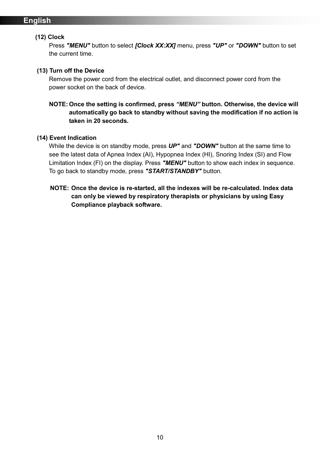#### **(12) Clock**

Press *"MENU"* button to select *[Clock XX:XX]* menu, press *"UP"* or *"DOWN"* button to set the current time.

#### **(13) Turn off the Device**

Remove the power cord from the electrical outlet, and disconnect power cord from the power socket on the back of device.

#### **NOTE: Once the setting is confirmed, press** *"MENU"* **button. Otherwise, the device will automatically go back to standby without saving the modification if no action is taken in 20 seconds.**

#### **(14) Event Indication**

 While the device is on standby mode, press *UP"* and *"DOWN"* button at the same time to see the latest data of Apnea Index (AI), Hypopnea Index (HI), Snoring Index (SI) and Flow Limitation Index (FI) on the display. Press *"MENU"* button to show each index in sequence. To go back to standby mode, press *"START/STANDBY"* button.

#### **NOTE: Once the device is re-started, all the indexes will be re-calculated. Index data can only be viewed by respiratory therapists or physicians by using Easy Compliance playback software.**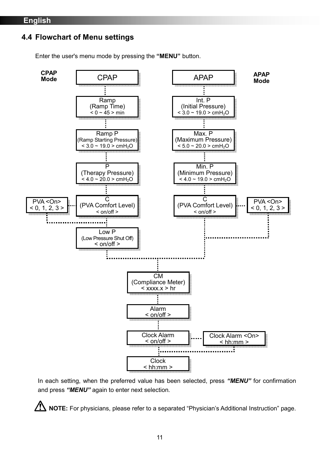## **4.4 Flowchart of Menu settings**

Enter the user's menu mode by pressing the **"MENU"** button.



In each setting, when the preferred value has been selected, press *"MENU"* for confirmation and press *"MENU"* again to enter next selection.

**NOTE:** For physicians, please refer to a separated "Physician's Additional Instruction" page.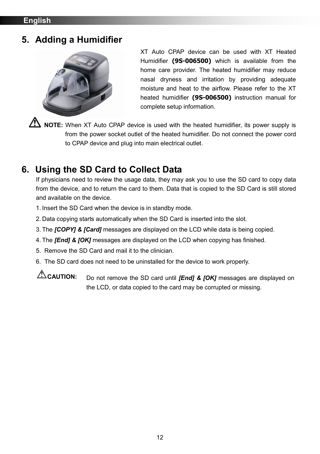## **5. Adding a Humidifier**



XT Auto CPAP device can be used with XT Heated Humidifier **(9S-006500)** which is available from the home care provider. The heated humidifier may reduce nasal dryness and irritation by providing adequate moisture and heat to the airflow. Please refer to the XT heated humidifier **(9S-006500)** instruction manual for complete setup information.

**A NOTE:** When XT Auto CPAP device is used with the heated humidifier, its power supply is from the power socket outlet of the heated humidifier. Do not connect the power cord to CPAP device and plug into main electrical outlet.

## **6. Using the SD Card to Collect Data**

If physicians need to review the usage data, they may ask you to use the SD card to copy data from the device, and to return the card to them. Data that is copied to the SD Card is still stored and available on the device.

- 1. Insert the SD Card when the device is in standby mode.
- 2. Data copying starts automatically when the SD Card is inserted into the slot.
- 3. The *[COPY] & [Card]* messages are displayed on the LCD while data is being copied.
- 4. The *[End] & [OK]* messages are displayed on the LCD when copying has finished.
- 5. Remove the SD Card and mail it to the clinician.
- 6. The SD card does not need to be uninstalled for the device to work properly.

**CAUTION:** Do not remove the SD card until *[End] & [OK]* messages are displayed on the LCD, or data copied to the card may be corrupted or missing.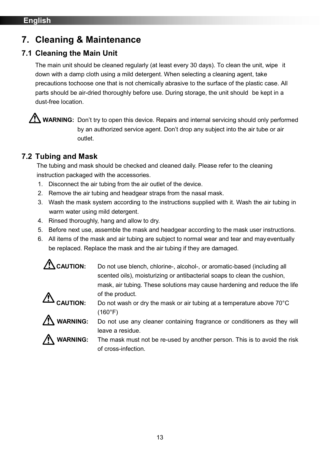## **7. Cleaning & Maintenance**

#### **7.1 Cleaning the Main Unit**

The main unit should be cleaned regularly (at least every 30 days). To clean the unit, wipe it down with a damp cloth using a mild detergent. When selecting a cleaning agent, take precautions to choose one that is not chemically abrasive to the surface of the plastic case. All parts should be air-dried thoroughly before use. During storage, the unit should be kept in a dust-free location.

**A WARNING:** Don't try to open this device. Repairs and internal servicing should only performed by an authorized service agent. Don't drop any subject into the air tube or air outlet.

### **7.2 Tubing and Mask**

 The tubing and mask should be checked and cleaned daily. Please refer to the cleaning instruction packaged with the accessories.

- 1. Disconnect the air tubing from the air outlet of the device.
- 2. Remove the air tubing and headgear straps from the nasal mask.
- 3. Wash the mask system according to the instructions supplied with it. Wash the air tubing in warm water using mild detergent.
- 4. Rinsed thoroughly, hang and allow to dry.
- 5. Before next use, assemble the mask and headgear according to the mask user instructions.
- 6. All items of the mask and air tubing are subject to normal wear and tear and may eventually be replaced. Replace the mask and the air tubing if they are damaged.

| <b>CAUTION:</b>      | Do not use blench, chlorine-, alcohol-, or aromatic-based (including all<br>scented oils), moisturizing or antibacterial soaps to clean the cushion, |
|----------------------|------------------------------------------------------------------------------------------------------------------------------------------------------|
|                      | mask, air tubing. These solutions may cause hardening and reduce the life                                                                            |
|                      | of the product.                                                                                                                                      |
| $\triangle$ CAUTION: | Do not wash or dry the mask or air tubing at a temperature above 70°C                                                                                |
|                      | (160°F)                                                                                                                                              |
| WARNING:             | Do not use any cleaner containing fragrance or conditioners as they will                                                                             |
|                      | leave a residue.                                                                                                                                     |
| <b>WARNING:</b>      | The mask must not be re-used by another person. This is to avoid the risk                                                                            |
|                      | of cross-infection.                                                                                                                                  |

13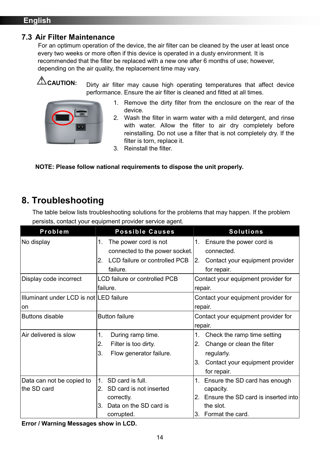#### **7.3 Air Filter Maintenance**

 For an optimum operation of the device, the air filter can be cleaned by the user at least once every two weeks or more often if this device is operated in a dusty environment. It is recommended that the filter be replaced with a new one after 6 months of use; however, depending on the air quality, the replacement time may vary.

**CAUTION:** Dirty air filter may cause high operating temperatures that affect device performance. Ensure the air filter is cleaned and fitted at all times.



- 1. Remove the dirty filter from the enclosure on the rear of the device.
- 2. Wash the filter in warm water with a mild detergent, and rinse with water. Allow the filter to air dry completely before reinstalling. Do not use a filter that is not completely dry. If the filter is torn, replace it.
- 3. Reinstall the filter.

#### **NOTE: Please follow national requirements to dispose the unit properly.**

## **8. Troubleshooting**

The table below lists troubleshooting solutions for the problems that may happen. If the problem persists, contact your equipment provider service agent.

| Problem                                 | <b>Possible Causes</b>              | <b>Solutions</b>                       |  |
|-----------------------------------------|-------------------------------------|----------------------------------------|--|
| No display                              | The power cord is not<br>1.         | Ensure the power cord is<br>1.         |  |
|                                         | connected to the power socket.      | connected.                             |  |
|                                         | LCD failure or controlled PCB<br>2. | Contact your equipment provider<br>2.  |  |
|                                         | failure.                            | for repair.                            |  |
| Display code incorrect                  | LCD failure or controlled PCB       | Contact your equipment provider for    |  |
|                                         | failure.                            | repair.                                |  |
| Illuminant under LCD is not LED failure |                                     | Contact your equipment provider for    |  |
| on                                      |                                     | repair.                                |  |
| <b>Buttons disable</b>                  | <b>Button failure</b>               | Contact your equipment provider for    |  |
|                                         |                                     | repair.                                |  |
| Air delivered is slow                   | 1.<br>During ramp time.             | 1. Check the ramp time setting         |  |
|                                         | 2.<br>Filter is too dirty.          | Change or clean the filter<br>2.       |  |
|                                         | 3.<br>Flow generator failure.       | regularly.                             |  |
|                                         |                                     | 3.<br>Contact your equipment provider  |  |
|                                         |                                     | for repair.                            |  |
| Data can not be copied to               | SD card is full.<br>1 <sub>1</sub>  | 1. Ensure the SD card has enough       |  |
| the SD card                             | SD card is not inserted<br>2.       | capacity.                              |  |
|                                         | correctly.                          | 2. Ensure the SD card is inserted into |  |
|                                         | Data on the SD card is<br>3.        | the slot.                              |  |
|                                         | corrupted.                          | 3. Format the card.                    |  |

**Error / Warning Messages show in LCD.**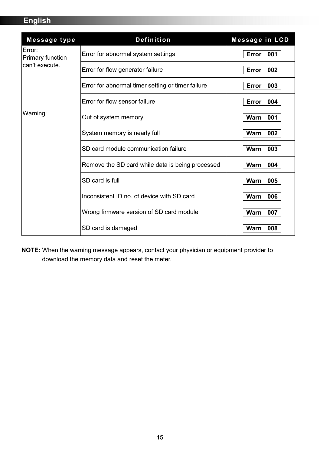| Message type                                 | <b>Definition</b>                                 | <b>Message in LCD</b> |
|----------------------------------------------|---------------------------------------------------|-----------------------|
| Error:<br>Primary function<br>can't execute. | Error for abnormal system settings                | Error<br>001          |
|                                              | Error for flow generator failure                  | Error<br>002          |
|                                              | Error for abnormal timer setting or timer failure | Error<br>003          |
|                                              | Error for flow sensor failure                     | Error<br>004          |
| Warning:                                     | Out of system memory                              | Warn<br>001           |
|                                              | System memory is nearly full                      | Warn<br>002           |
|                                              | SD card module communication failure              | Warn<br>003           |
|                                              | Remove the SD card while data is being processed  | Warn<br>004           |
|                                              | SD card is full                                   | Warn<br>005           |
|                                              | Inconsistent ID no. of device with SD card        | 006<br>Warn           |
|                                              | Wrong firmware version of SD card module          | Warn<br>007           |
|                                              | SD card is damaged                                | Warn<br>008           |

**NOTE:** When the warning message appears, contact your physician or equipment provider to download the memory data and reset the meter.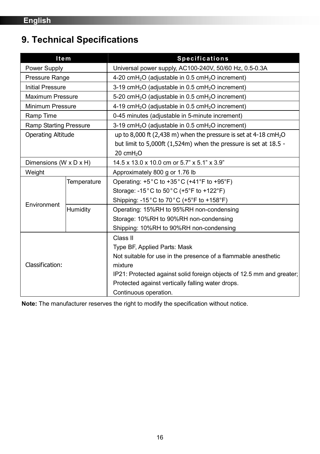## **9. Technical Specifications**

| <b>Item</b>               |             | <b>Specifications</b>                                                                |  |
|---------------------------|-------------|--------------------------------------------------------------------------------------|--|
| Power Supply              |             | Universal power supply, AC100-240V, 50/60 Hz, 0.5-0.3A                               |  |
| Pressure Range            |             | 4-20 cmH <sub>2</sub> O (adjustable in 0.5 cmH <sub>2</sub> O increment)             |  |
| <b>Initial Pressure</b>   |             | 3-19 cmH <sub>2</sub> O (adjustable in $0.5$ cmH <sub>2</sub> O increment)           |  |
| Maximum Pressure          |             | 5-20 cmH <sub>2</sub> O (adjustable in 0.5 cmH <sub>2</sub> O increment)             |  |
| Minimum Pressure          |             | 4-19 cmH <sub>2</sub> O (adjustable in 0.5 cmH <sub>2</sub> O increment)             |  |
| Ramp Time                 |             | 0-45 minutes (adjustable in 5-minute increment)                                      |  |
| Ramp Starting Pressure    |             | 3-19 cmH <sub>2</sub> O (adjustable in $0.5$ cmH <sub>2</sub> O increment)           |  |
| <b>Operating Altitude</b> |             | up to 8,000 ft (2,438 m) when the pressure is set at 4-18 cmH <sub>2</sub> O         |  |
|                           |             | but limit to 5,000ft $(1,524m)$ when the pressure is set at 18.5 -                   |  |
|                           |             | 20 cmH <sub>2</sub> O                                                                |  |
| Dimensions (W x D x H)    |             | 14.5 x 13.0 x 10.0 cm or 5.7" x 5.1" x 3.9"                                          |  |
| Weight                    |             | Approximately 800 g or 1.76 lb                                                       |  |
|                           | Temperature | Operating: $+5^{\circ}$ C to $+35^{\circ}$ C ( $+41^{\circ}$ F to $+95^{\circ}$ F)   |  |
|                           |             | Storage: -15°C to 50°C (+5°F to +122°F)                                              |  |
| Environment               |             | Shipping: -15 $^{\circ}$ C to 70 $^{\circ}$ C (+5 $^{\circ}$ F to +158 $^{\circ}$ F) |  |
|                           | Humidity    | Operating: 15%RH to 95%RH non-condensing                                             |  |
|                           |             | Storage: 10%RH to 90%RH non-condensing                                               |  |
|                           |             | Shipping: 10%RH to 90%RH non-condensing                                              |  |
|                           |             | Class II                                                                             |  |
| Classification:           |             | Type BF, Applied Parts: Mask                                                         |  |
|                           |             | Not suitable for use in the presence of a flammable anesthetic                       |  |
|                           |             | mixture                                                                              |  |
|                           |             | IP21: Protected against solid foreign objects of 12.5 mm and greater;                |  |
|                           |             | Protected against vertically falling water drops.                                    |  |
|                           |             | Continuous operation.                                                                |  |

**Note:** The manufacturer reserves the right to modify the specification without notice.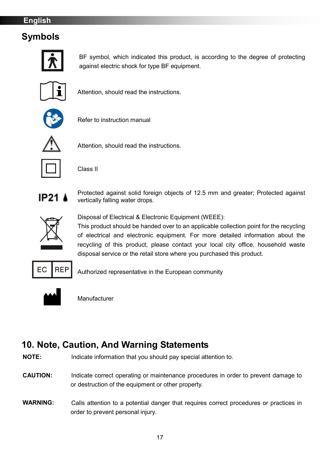## **Symbols**



BF symbol, which indicated this product, is according to the degree of protecting against electric shock for type BF equipment.



Attention, should read the instructions.



Refer to instruction manual



Attention, should read the instructions.



Class II



Protected against solid foreign objects of 12.5 mm and greater; Protected against vertically falling water drops.



Disposal of Electrical & Electronic Equipment (WEEE):

This product should be handed over to an applicable collection point for the recycling of electrical and electronic equipment. For more detailed information about the recycling of this product, please contact your local city office, household waste disposal service or the retail store where you purchased this product.



Authorized representative in the European community



Manufacturer

## **10. Note, Caution, And Warning Statements**

**NOTE:** Indicate information that you should pay special attention to.

- **CAUTION:** Indicate correct operating or maintenance procedures in order to prevent damage to or destruction of the equipment or other property.
- **WARNING:** Calls attention to a potential danger that requires correct procedures or practices in order to prevent personal injury.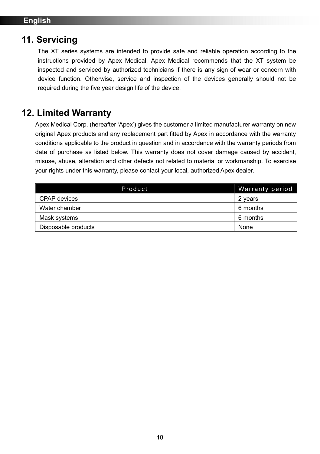## **11. Servicing**

The XT series systems are intended to provide safe and reliable operation according to the instructions provided by Apex Medical. Apex Medical recommends that the XT system be inspected and serviced by authorized technicians if there is any sign of wear or concern with device function. Otherwise, service and inspection of the devices generally should not be required during the five year design life of the device.

## **12. Limited Warranty**

Apex Medical Corp. (hereafter 'Apex') gives the customer a limited manufacturer warranty on new original Apex products and any replacement part fitted by Apex in accordance with the warranty conditions applicable to the product in question and in accordance with the warranty periods from date of purchase as listed below. This warranty does not cover damage caused by accident, misuse, abuse, alteration and other defects not related to material or workmanship. To exercise your rights under this warranty, please contact your local, authorized Apex dealer.

| Product             | Warranty period |
|---------------------|-----------------|
| CPAP devices        | 2 years         |
| Water chamber       | 6 months        |
| Mask systems        | 6 months        |
| Disposable products | None            |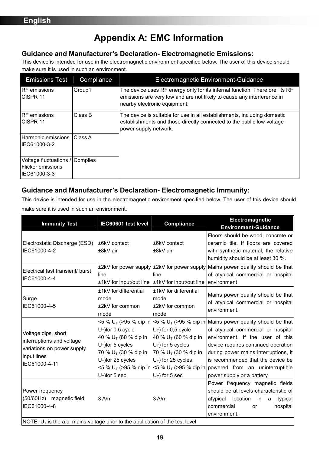## **Appendix A: EMC Information**

#### **Guidance and Manufacturer's Declaration- Electromagnetic Emissions:**

This device is intended for use in the electromagnetic environment specified below. The user of this device should make sure it is used in such an environment.

| <b>Emissions Test</b>                                                | Compliance | Electromagnetic Environment-Guidance                                                                                                                                                  |
|----------------------------------------------------------------------|------------|---------------------------------------------------------------------------------------------------------------------------------------------------------------------------------------|
| <b>RF</b> emissions<br>CISPR 11                                      | Group1     | The device uses RF energy only for its internal function. Therefore, its RF<br>emissions are very low and are not likely to cause any interference in<br>nearby electronic equipment. |
| <b>RF</b> emissions<br>CISPR <sub>11</sub>                           | Class B    | The device is suitable for use in all establishments, including domestic<br>establishments and those directly connected to the public low-voltage<br>power supply network.            |
| Harmonic emissions<br>IEC61000-3-2                                   | Class A    |                                                                                                                                                                                       |
| Voltage fluctuations / Complies<br>Flicker emissions<br>IEC61000-3-3 |            |                                                                                                                                                                                       |

#### **Guidance and Manufacturer's Declaration- Electromagnetic Immunity:**

This device is intended for use in the electromagnetic environment specified below. The user of this device should make sure it is used in such an environment.

| <b>Immunity Test</b>                                                                                                                            | IEC60601 test level                                                                                                                                             | Compliance                                                                                                                                                          | Electromagnetic<br><b>Environment-Guidance</b>                                                                                                                                                                                                                                                                                                                                                                                            |
|-------------------------------------------------------------------------------------------------------------------------------------------------|-----------------------------------------------------------------------------------------------------------------------------------------------------------------|---------------------------------------------------------------------------------------------------------------------------------------------------------------------|-------------------------------------------------------------------------------------------------------------------------------------------------------------------------------------------------------------------------------------------------------------------------------------------------------------------------------------------------------------------------------------------------------------------------------------------|
| Electrostatic Discharge (ESD)<br>IEC61000-4-2<br>Electrical fast transient/ burst                                                               | ±6kV contact<br>±8kV air                                                                                                                                        | ±6kV contact<br>±8kV air                                                                                                                                            | Floors should be wood, concrete or<br>ceramic tile. If floors are covered<br>with synthetic material, the relative<br>humidity should be at least 30 %.<br>$\pm$ 2kV for power supply $\pm$ 2kV for power supply Mains power quality should be that                                                                                                                                                                                       |
| IEC61000-4-4                                                                                                                                    | line                                                                                                                                                            | line<br>±1kV for input/out line ±1kV for input/out line                                                                                                             | of atypical commercial or hospital<br>environment                                                                                                                                                                                                                                                                                                                                                                                         |
| Surge<br>IEC61000-4-5                                                                                                                           | ±1kV for differential<br>mode<br>±2kV for common<br>mode                                                                                                        | ±1kV for differential<br>mode<br>±2kV for common<br>mode                                                                                                            | Mains power quality should be that<br>of atypical commercial or hospital<br>environment.                                                                                                                                                                                                                                                                                                                                                  |
| Voltage dips, short<br>interruptions and voltage<br>variations on power supply<br>input lines<br>IEC61000-4-11                                  | $U_T$ )for 0,5 cycle<br>40 % U <sub>T</sub> (60 % dip in<br>$U_T$ )for 5 cycles<br>70 % U <sub>T</sub> (30 % dip in<br>$U_T$ )for 25 cycles<br>$U_T$ )for 5 sec | $U_T$ ) for 0,5 cycle<br>40 % U <sub>T</sub> (60 % dip in<br>$U_T$ ) for 5 cycles<br>70 % U <sub>T</sub> (30 % dip in<br>$U_T$ ) for 25 cycles<br>$U_T$ ) for 5 sec | <5 % U <sub>T</sub> (>95 % dip in <5 % U <sub>T</sub> (>95 % dip in Mains power quality should be that<br>of atypical commercial or hospital<br>environment. If the user of this<br>device requires continued operation<br>during power mains interruptions, it<br>is recommended that the device be<br><5 % U <sub>T</sub> (>95 % dip in <5 % U <sub>T</sub> (>95 % dip in powered from an uninterruptible<br>power supply or a battery. |
| Power frequency<br>(50/60Hz) magnetic field<br>IEC61000-4-8<br>NOTE: $U_T$ is the a.c. mains voltage prior to the application of the test level | 3A/m                                                                                                                                                            | 3 A/m                                                                                                                                                               | Power frequency magnetic fields<br>should be at levels characteristic of<br>location in<br>atypical<br>typical<br>a a<br>hospital<br>commercial<br>or<br>environment.                                                                                                                                                                                                                                                                     |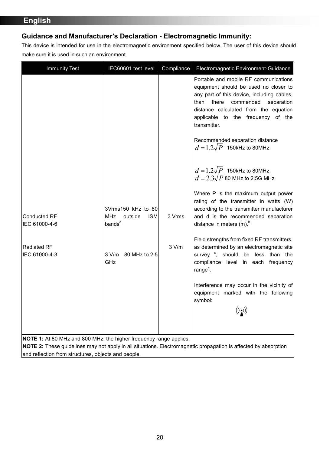### **Guidance and Manufacturer's Declaration - Electromagnetic Immunity:**

This device is intended for use in the electromagnetic environment specified below. The user of this device should make sure it is used in such an environment.

| <b>Immunity Test</b>                                                        | IEC60601 test level                                                                                    | Compliance      | Electromagnetic Environment-Guidance                                                                                                                                                                                                                                                                                                                                                                                                                                                                                                                                                                                                                                                                                                                                                                                                                                                                                                                                                                                             |
|-----------------------------------------------------------------------------|--------------------------------------------------------------------------------------------------------|-----------------|----------------------------------------------------------------------------------------------------------------------------------------------------------------------------------------------------------------------------------------------------------------------------------------------------------------------------------------------------------------------------------------------------------------------------------------------------------------------------------------------------------------------------------------------------------------------------------------------------------------------------------------------------------------------------------------------------------------------------------------------------------------------------------------------------------------------------------------------------------------------------------------------------------------------------------------------------------------------------------------------------------------------------------|
| <b>Conducted RF</b><br>IEC 61000-4-6<br><b>Radiated RF</b><br>IEC 61000-4-3 | 3Vrms150 kHz to 80<br>MHz<br>outside<br><b>ISM</b><br>bands <sup>a</sup><br>3 V/m 80 MHz to 2.5<br>GHz | 3 Vrms<br>3 V/m | Portable and mobile RF communications<br>equipment should be used no closer to<br>any part of this device, including cables,<br>there commended<br>than<br>separation<br>distance calculated from the equation<br>applicable to the frequency of the<br>transmitter.<br>Recommended separation distance<br>$d = 1.2\sqrt{P}$ 150kHz to 80MHz<br>$d=1.2\sqrt{P}$ 150kHz to 80MHz<br>$d = 2.3\sqrt{P}$ 80 MHz to 2.5G MHz<br>Where P is the maximum output power<br>rating of the transmitter in watts (W)<br>according to the transmitter manufacturer<br>and d is the recommended separation<br>distance in meters (m). <sup>b</sup><br>Field strengths from fixed RF transmitters,<br>as determined by an electromagnetic site<br>survey <sup>c</sup> , should be less than the<br>compliance level in each frequency<br>range <sup>d</sup> .<br>Interference may occur in the vicinity of<br>equipment marked with the following<br>symbol:<br>$\left(\left(\begin{smallmatrix} \cdot & \cdot \end{smallmatrix}\right)\right)$ |
| <b>NOTE 1:</b> At 80 MHz and 800 MHz, the higher frequency range applies.   |                                                                                                        |                 |                                                                                                                                                                                                                                                                                                                                                                                                                                                                                                                                                                                                                                                                                                                                                                                                                                                                                                                                                                                                                                  |

**NOTE 2:** These guidelines may not apply in all situations. Electromagnetic propagation is affected by absorption and reflection from structures, objects and people.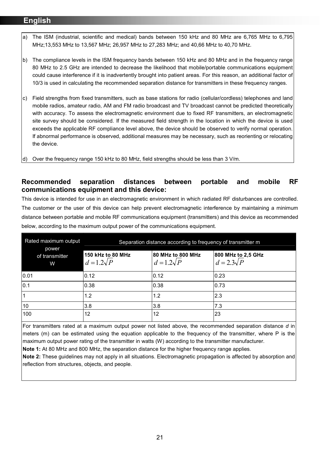- a) The ISM (industrial, scientific and medical) bands between 150 kHz and 80 MHz are 6,765 MHz to 6,795 MHz;13,553 MHz to 13,567 MHz; 26,957 MHz to 27,283 MHz; and 40,66 MHz to 40,70 MHz.
- b) The compliance levels in the ISM frequency bands between 150 kHz and 80 MHz and in the frequency range 80 MHz to 2.5 GHz are intended to decrease the likelihood that mobile/portable communications equipment could cause interference if it is inadvertently brought into patient areas. For this reason, an additional factor of 10/3 is used in calculating the recommended separation distance for transmitters in these frequency ranges.
- c) Field strengths from fixed transmitters, such as base stations for radio (cellular/cordless) telephones and land mobile radios, amateur radio, AM and FM radio broadcast and TV broadcast cannot be predicted theoretically with accuracy. To assess the electromagnetic environment due to fixed RF transmitters, an electromagnetic site survey should be considered. If the measured field strength in the location in which the device is used exceeds the applicable RF compliance level above, the device should be observed to verify normal operation. If abnormal performance is observed, additional measures may be necessary, such as reorienting or relocating the device.
- Over the frequency range 150 kHz to 80 MHz, field strengths should be less than 3 V/m.

#### **Recommended separation distances between portable and mobile RF communications equipment and this device:**

This device is intended for use in an electromagnetic environment in which radiated RF disturbances are controlled. The customer or the user of this device can help prevent electromagnetic interference by maintaining a minimum distance between portable and mobile RF communications equipment (transmitters) and this device as recommended below, according to the maximum output power of the communications equipment.

| Rated maximum output<br>power | Separation distance according to frequency of transmitter m |                                      |                                       |  |
|-------------------------------|-------------------------------------------------------------|--------------------------------------|---------------------------------------|--|
| of transmitter<br>W           | 150 kHz to 80 MHz<br>$d=1.2\sqrt{P}$                        | 80 MHz to 800 MHz<br>$d=1.2\sqrt{P}$ | 800 MHz to 2,5 GHz<br>$d=2.3\sqrt{P}$ |  |
| 0.01                          | 0.12                                                        | 0.12                                 | 0.23                                  |  |
| 0.1                           | 0.38                                                        | 0.38                                 | 0.73                                  |  |
|                               | 1.2                                                         | 1.2                                  | 2.3                                   |  |
| 10                            | 3.8                                                         | 3.8                                  | 7.3                                   |  |
| 100                           | 12                                                          | 12                                   | 23                                    |  |

For transmitters rated at a maximum output power not listed above, the recommended separation distance *d* in meters (m) can be estimated using the equation applicable to the frequency of the transmitter, where P is the maximum output power rating of the transmitter in watts (W) according to the transmitter manufacturer.

**Note 1:** At 80 MHz and 800 MHz, the separation distance for the higher frequency range applies.

**Note 2:** These guidelines may not apply in all situations. Electromagnetic propagation is affected by absorption and reflection from structures, objects, and people.